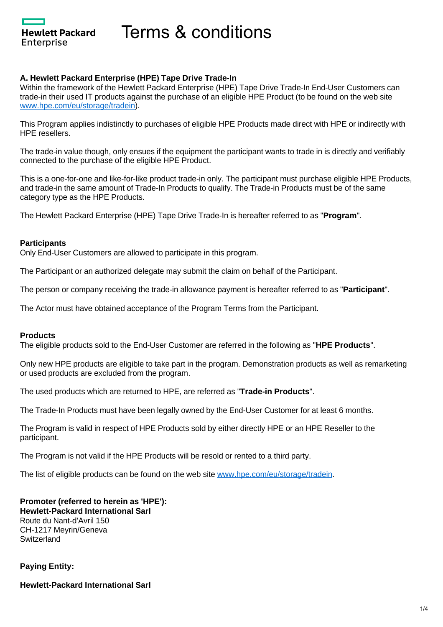**Hewlett Packard** Enterprise

Terms & conditions

## **A. Hewlett Packard Enterprise (HPE) Tape Drive Trade-In**

Within the framework of the Hewlett Packard Enterprise (HPE) Tape Drive Trade-In End-User Customers can trade-in their used IT products against the purchase of an eligible HPE Product (to be found on the web site [www.hpe.com/eu/storage/tradein](http://www.hpe.com/eu/storage/tradein)).

This Program applies indistinctly to purchases of eligible HPE Products made direct with HPE or indirectly with HPE resellers.

The trade-in value though, only ensues if the equipment the participant wants to trade in is directly and verifiably connected to the purchase of the eligible HPE Product.

This is a one-for-one and like-for-like product trade-in only. The participant must purchase eligible HPE Products, and trade-in the same amount of Trade-In Products to qualify. The Trade-in Products must be of the same category type as the HPE Products.

The Hewlett Packard Enterprise (HPE) Tape Drive Trade-In is hereafter referred to as "**Program**".

### **Participants**

Only End-User Customers are allowed to participate in this program.

The Participant or an authorized delegate may submit the claim on behalf of the Participant.

The person or company receiving the trade-in allowance payment is hereafter referred to as "**Participant**".

The Actor must have obtained acceptance of the Program Terms from the Participant.

#### **Products**

The eligible products sold to the End-User Customer are referred in the following as "**HPE Products**".

Only new HPE products are eligible to take part in the program. Demonstration products as well as remarketing or used products are excluded from the program.

The used products which are returned to HPE, are referred as "**Trade-in Products**".

The Trade-In Products must have been legally owned by the End-User Customer for at least 6 months.

The Program is valid in respect of HPE Products sold by either directly HPE or an HPE Reseller to the participant.

The Program is not valid if the HPE Products will be resold or rented to a third party.

The list of eligible products can be found on the web site [www.hpe.com/eu/storage/tradein](http://www.hpe.com/eu/storage/tradein).

**Promoter (referred to herein as 'HPE'): Hewlett-Packard International Sarl** Route du Nant-d'Avril 150 CH-1217 Meyrin/Geneva **Switzerland** 

### **Paying Entity:**

**Hewlett-Packard International Sarl**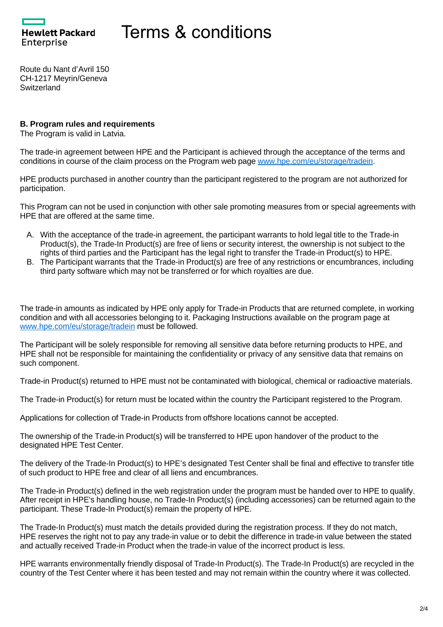**Hewlett Packard** Enterprise

# Terms & conditions

Route du Nant d'Avril 150 CH-1217 Meyrin/Geneva **Switzerland** 

## **B. Program rules and requirements**

The Program is valid in Latvia.

The trade-in agreement between HPE and the Participant is achieved through the acceptance of the terms and conditions in course of the claim process on the Program web page [www.hpe.com/eu/storage/tradein.](http://www.hpe.com/eu/storage/tradein)

HPE products purchased in another country than the participant registered to the program are not authorized for participation.

This Program can not be used in conjunction with other sale promoting measures from or special agreements with HPE that are offered at the same time.

- A. With the acceptance of the trade-in agreement, the participant warrants to hold legal title to the Trade-in Product(s), the Trade-In Product(s) are free of liens or security interest, the ownership is not subject to the rights of third parties and the Participant has the legal right to transfer the Trade-in Product(s) to HPE.
- B. The Participant warrants that the Trade-in Product(s) are free of any restrictions or encumbrances, including third party software which may not be transferred or for which royalties are due.

The trade-in amounts as indicated by HPE only apply for Trade-in Products that are returned complete, in working condition and with all accessories belonging to it. Packaging Instructions available on the program page at [www.hpe.com/eu/storage/tradein](http://www.hpe.com/eu/storage/tradein) must be followed.

The Participant will be solely responsible for removing all sensitive data before returning products to HPE, and HPE shall not be responsible for maintaining the confidentiality or privacy of any sensitive data that remains on such component.

Trade-in Product(s) returned to HPE must not be contaminated with biological, chemical or radioactive materials.

The Trade-in Product(s) for return must be located within the country the Participant registered to the Program.

Applications for collection of Trade-in Products from offshore locations cannot be accepted.

The ownership of the Trade-in Product(s) will be transferred to HPE upon handover of the product to the designated HPE Test Center.

The delivery of the Trade-In Product(s) to HPE's designated Test Center shall be final and effective to transfer title of such product to HPE free and clear of all liens and encumbrances.

The Trade-in Product(s) defined in the web registration under the program must be handed over to HPE to qualify. After receipt in HPE's handling house, no Trade-In Product(s) (including accessories) can be returned again to the participant. These Trade-In Product(s) remain the property of HPE.

The Trade-In Product(s) must match the details provided during the registration process. If they do not match, HPE reserves the right not to pay any trade-in value or to debit the difference in trade-in value between the stated and actually received Trade-in Product when the trade-in value of the incorrect product is less.

HPE warrants environmentally friendly disposal of Trade-In Product(s). The Trade-In Product(s) are recycled in the country of the Test Center where it has been tested and may not remain within the country where it was collected.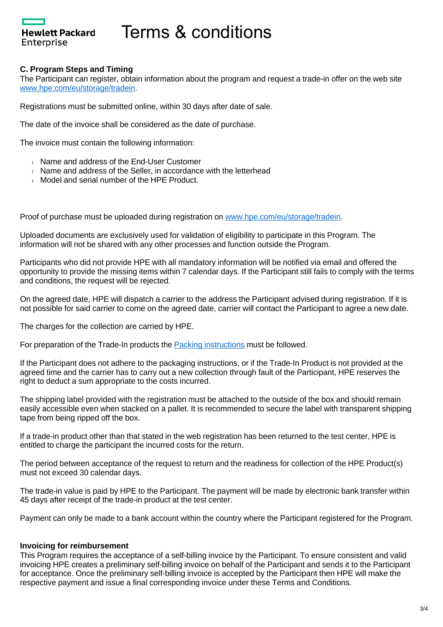# Terms & conditions

### **C. Program Steps and Timing**

**Hewlett Packard** 

Enterprise

The Participant can register, obtain information about the program and request a trade-in offer on the web site [www.hpe.com/eu/storage/tradein](http://www.hpe.com/eu/storage/tradein).

Registrations must be submitted online, within 30 days after date of sale.

The date of the invoice shall be considered as the date of purchase.

The invoice must contain the following information:

- Name and address of the End-User Customer
- Name and address of the Seller, in accordance with the letterhead
- **Model and serial number of the HPE Product.**

Proof of purchase must be uploaded during registration on [www.hpe.com/eu/storage/tradein](http://www.hpe.com/eu/storage/tradein).

Uploaded documents are exclusively used for validation of eligibility to participate in this Program. The information will not be shared with any other processes and function outside the Program.

Participants who did not provide HPE with all mandatory information will be notified via email and offered the opportunity to provide the missing items within 7 calendar days. If the Participant still fails to comply with the terms and conditions, the request will be rejected.

On the agreed date, HPE will dispatch a carrier to the address the Participant advised during registration. If it is not possible for said carrier to come on the agreed date, carrier will contact the Participant to agree a new date.

The charges for the collection are carried by HPE.

For preparation of the Trade-In products the [Packing instructions](https://promotions.ext.hpe.com/WMCF.Web/Images/HP/Cleansheet/Special/Documents/Packing%20instructions_(en)_20210-02-25.pdf) must be followed.

If the Participant does not adhere to the packaging instructions, or if the Trade-In Product is not provided at the agreed time and the carrier has to carry out a new collection through fault of the Participant, HPE reserves the right to deduct a sum appropriate to the costs incurred.

The shipping label provided with the registration must be attached to the outside of the box and should remain easily accessible even when stacked on a pallet. It is recommended to secure the label with transparent shipping tape from being ripped off the box.

If a trade-in product other than that stated in the web registration has been returned to the test center, HPE is entitled to charge the participant the incurred costs for the return.

The period between acceptance of the request to return and the readiness for collection of the HPE Product(s) must not exceed 30 calendar days.

The trade-in value is paid by HPE to the Participant. The payment will be made by electronic bank transfer within 45 days after receipt of the trade-in product at the test center.

Payment can only be made to a bank account within the country where the Participant registered for the Program.

#### **Invoicing for reimbursement**

This Program requires the acceptance of a self-billing invoice by the Participant. To ensure consistent and valid invoicing HPE creates a preliminary self-billing invoice on behalf of the Participant and sends it to the Participant for acceptance. Once the preliminary self-billing invoice is accepted by the Participant then HPE will make the respective payment and issue a final corresponding invoice under these Terms and Conditions.